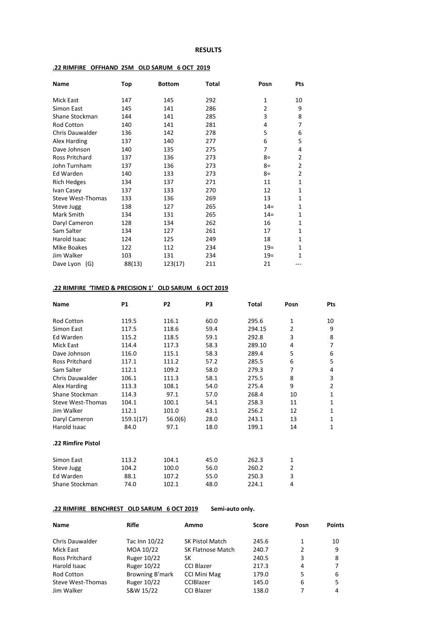#### **RESULTS**

| Name                   | Top    | <b>Bottom</b> | Total | Posn           | Pts            |
|------------------------|--------|---------------|-------|----------------|----------------|
| <b>Mick East</b>       | 147    | 145           | 292   | 1              | 10             |
| Simon East             | 145    | 141           | 286   | $\overline{2}$ | 9              |
| Shane Stockman         | 144    | 141           | 285   | 3              | 8              |
| Rod Cotton             | 140    | 141           | 281   | 4              | 7              |
| <b>Chris Dauwalder</b> | 136    | 142           | 278   | 5              | 6              |
| Alex Harding           | 137    | 140           | 277   | 6              | 5              |
| Dave Johnson           | 140    | 135           | 275   | 7              | 4              |
| Ross Pritchard         | 137    | 136           | 273   | $8=$           | $\overline{2}$ |
| John Turnham           | 137    | 136           | 273   | $8=$           | $\overline{2}$ |
| Ed Warden              | 140    | 133           | 273   | 8=             | $\overline{2}$ |
| <b>Rich Hedges</b>     | 134    | 137           | 271   | 11             | $\mathbf{1}$   |
| Ivan Casey             | 137    | 133           | 270   | 12             | $\mathbf{1}$   |
| Steve West-Thomas      | 133    | 136           | 269   | 13             | 1              |
| Steve Jugg             | 138    | 127           | 265   | $14 =$         | $\mathbf{1}$   |
| Mark Smith             | 134    | 131           | 265   | $14=$          | 1              |
| Daryl Cameron          | 128    | 134           | 262   | 16             | $\mathbf{1}$   |
| Sam Salter             | 134    | 127           | 261   | 17             | 1              |
| Harold Isaac           | 124    | 125           | 249   | 18             | 1              |
| <b>Mike Boakes</b>     | 122    | 112           | 234   | $19 =$         | $\mathbf{1}$   |
| Jim Walker             | 103    | 131           | 234   | $19=$          | 1              |
| Dave Lyon (G)          | 88(13) | 123(17)       | 211   | 21             |                |

### **.22 RIMFIRE OFFHAND 25M OLD SARUM 6 OCT 2019**

#### **.22 RIMFIRE 'TIMED & PRECISION 1' OLD SARUM 6 OCT 2019**

| <b>Name</b>            | <b>P1</b> | P <sub>2</sub> | P3   | Total  | Posn           | Pts            |
|------------------------|-----------|----------------|------|--------|----------------|----------------|
| <b>Rod Cotton</b>      | 119.5     | 116.1          | 60.0 | 295.6  | 1              | 10             |
| Simon East             | 117.5     | 118.6          | 59.4 | 294.15 | $\overline{2}$ | 9              |
| Ed Warden              | 115.2     | 118.5          | 59.1 | 292.8  | 3              | 8              |
| Mick East              | 114.4     | 117.3          | 58.3 | 289.10 | 4              | 7              |
| Dave Johnson           | 116.0     | 115.1          | 58.3 | 289.4  | 5              | 6              |
| <b>Ross Pritchard</b>  | 117.1     | 111.2          | 57.2 | 285.5  | 6              | 5              |
| Sam Salter             | 112.1     | 109.2          | 58.0 | 279.3  | 7              | 4              |
| <b>Chris Dauwalder</b> | 106.1     | 111.3          | 58.1 | 275.5  | 8              | 3              |
| Alex Harding           | 113.3     | 108.1          | 54.0 | 275.4  | 9              | $\overline{2}$ |
| Shane Stockman         | 114.3     | 97.1           | 57.0 | 268.4  | 10             | 1              |
| Steve West-Thomas      | 104.1     | 100.1          | 54.1 | 258.3  | 11             | 1              |
| Jim Walker             | 112.1     | 101.0          | 43.1 | 256.2  | 12             | 1              |
| Daryl Cameron          | 159.1(17) | 56.0(6)        | 28.0 | 243.1  | 13             | 1              |
| Harold Isaac           | 84.0      | 97.1           | 18.0 | 199.1  | 14             | 1              |
| .22 Rimfire Pistol     |           |                |      |        |                |                |
| Simon East             | 113.2     | 104.1          | 45.0 | 262.3  | 1              |                |
| Steve Jugg             | 104.2     | 100.0          | 56.0 | 260.2  | $\overline{2}$ |                |
| Ed Warden              | 88.1      | 107.2          | 55.0 | 250.3  | 3              |                |
| Shane Stockman         | 74.0      | 102.1          | 48.0 | 224.1  | 4              |                |

## **.22 RIMFIRE BENCHREST OLD SARUM 6 OCT 2019 Semi-auto only.**

| <b>Name</b>            | <b>Rifle</b>       | Ammo                   | <b>Score</b> | Posn | <b>Points</b> |
|------------------------|--------------------|------------------------|--------------|------|---------------|
| <b>Chris Dauwalder</b> | Tac Inn 10/22      | <b>SK Pistol Match</b> | 245.6        | 1    | 10            |
| Mick East              | MOA 10/22          | SK Flatnose Match      | 240.7        | 2    | 9             |
| Ross Pritchard         | <b>Ruger 10/22</b> | SК                     | 240.5        | 3    | 8             |
| Harold Isaac           | <b>Ruger 10/22</b> | <b>CCI Blazer</b>      | 217.3        | 4    |               |
| Rod Cotton             | Browning B'mark    | <b>CCI Mini Mag</b>    | 179.0        | 5    | 6             |
| Steve West-Thomas      | Ruger 10/22        | <b>CCIBlazer</b>       | 145.0        | 6    | 5             |
| Jim Walker             | S&W 15/22          | <b>CCI Blazer</b>      | 138.0        | 7    | 4             |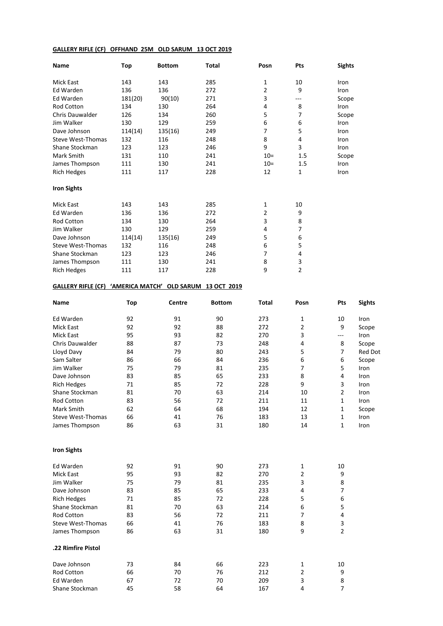### **GALLERY RIFLE (CF) OFFHAND 25M OLD SARUM 13 OCT 2019**

| Name                     | Top     | <b>Bottom</b> | <b>Total</b> | Posn  | <b>Pts</b> | <b>Sights</b> |
|--------------------------|---------|---------------|--------------|-------|------------|---------------|
| <b>Mick East</b>         | 143     | 143           | 285          | 1     | 10         | Iron          |
| Ed Warden                | 136     | 136           | 272          | 2     | 9          | Iron          |
| Ed Warden                | 181(20) | 90(10)        | 271          | 3     | ---        | Scope         |
| <b>Rod Cotton</b>        | 134     | 130           | 264          | 4     | 8          | Iron          |
| <b>Chris Dauwalder</b>   | 126     | 134           | 260          | 5     | 7          | Scope         |
| Jim Walker               | 130     | 129           | 259          | 6     | 6          | Iron          |
| Dave Johnson             | 114(14) | 135(16)       | 249          | 7     | 5          | Iron          |
| <b>Steve West-Thomas</b> | 132     | 116           | 248          | 8     | 4          | Iron          |
| Shane Stockman           | 123     | 123           | 246          | 9     | 3          | Iron          |
| Mark Smith               | 131     | 110           | 241          | $10=$ | 1.5        | Scope         |
| James Thompson           | 111     | 130           | 241          | $10=$ | 1.5        | Iron          |
| <b>Rich Hedges</b>       | 111     | 117           | 228          | 12    | 1          | Iron          |
| <b>Iron Sights</b>       |         |               |              |       |            |               |
| <b>Mick East</b>         | 143     | 143           | 285          | 1     | 10         |               |
| Ed Warden                | 136     | 136           | 272          | 2     | 9          |               |
| Rod Cotton               | 134     | 130           | 264          | 3     | 8          |               |
| Jim Walker               | 130     | 129           | 259          | 4     | 7          |               |
| Dave Johnson             | 114(14) | 135(16)       | 249          | 5     | 6          |               |
| Steve West-Thomas        | 132     | 116           | 248          | 6     | 5          |               |
| Shane Stockman           | 123     | 123           | 246          | 7     | 4          |               |
| James Thompson           | 111     | 130           | 241          | 8     | 3          |               |
| <b>Rich Hedges</b>       | 111     | 117           | 228          | 9     | 2          |               |

## **GALLERY RIFLE (CF) 'AMERICA MATCH' OLD SARUM 13 OCT 2019**

| Name                     | <b>Top</b> | Centre | <b>Bottom</b> | <b>Total</b> | Posn           | Pts            | <b>Sights</b>  |
|--------------------------|------------|--------|---------------|--------------|----------------|----------------|----------------|
| Ed Warden                | 92         | 91     | 90            | 273          | 1              | 10             | Iron           |
| <b>Mick East</b>         | 92         | 92     | 88            | 272          | $\overline{2}$ | 9              | Scope          |
| <b>Mick East</b>         | 95         | 93     | 82            | 270          | 3              | $---$          | Iron           |
| Chris Dauwalder          | 88         | 87     | 73            | 248          | $\overline{4}$ | 8              | Scope          |
| Lloyd Davy               | 84         | 79     | 80            | 243          | 5              | 7              | <b>Red Dot</b> |
| Sam Salter               | 86         | 66     | 84            | 236          | 6              | 6              | Scope          |
| Jim Walker               | 75         | 79     | 81            | 235          | $\overline{7}$ | 5              | Iron           |
| Dave Johnson             | 83         | 85     | 65            | 233          | 8              | 4              | Iron           |
| <b>Rich Hedges</b>       | 71         | 85     | 72            | 228          | 9              | 3              | Iron           |
| Shane Stockman           | 81         | 70     | 63            | 214          | 10             | $\overline{2}$ | Iron           |
| <b>Rod Cotton</b>        | 83         | 56     | 72            | 211          | 11             | 1              | Iron           |
| Mark Smith               | 62         | 64     | 68            | 194          | 12             | 1              | Scope          |
| <b>Steve West-Thomas</b> | 66         | 41     | 76            | 183          | 13             | 1              | Iron           |
| James Thompson           | 86         | 63     | 31            | 180          | 14             | $\mathbf{1}$   | Iron           |
| <b>Iron Sights</b>       |            |        |               |              |                |                |                |
| Ed Warden                | 92         | 91     | 90            | 273          | 1              | 10             |                |
| <b>Mick East</b>         | 95         | 93     | 82            | 270          | $\overline{2}$ | 9              |                |
| Jim Walker               | 75         | 79     | 81            | 235          | 3              | 8              |                |
| Dave Johnson             | 83         | 85     | 65            | 233          | 4              | $\overline{7}$ |                |
| <b>Rich Hedges</b>       | 71         | 85     | 72            | 228          | 5              | 6              |                |
| Shane Stockman           | 81         | 70     | 63            | 214          | 6              | 5              |                |
| <b>Rod Cotton</b>        | 83         | 56     | 72            | 211          | $\overline{7}$ | 4              |                |
| <b>Steve West-Thomas</b> | 66         | 41     | 76            | 183          | 8              | 3              |                |
| James Thompson           | 86         | 63     | 31            | 180          | 9              | $\overline{2}$ |                |
| .22 Rimfire Pistol       |            |        |               |              |                |                |                |
| Dave Johnson             | 73         | 84     | 66            | 223          | 1              | 10             |                |
| <b>Rod Cotton</b>        | 66         | 70     | 76            | 212          | $\overline{2}$ | 9              |                |
| Ed Warden                | 67         | 72     | 70            | 209          | 3              | 8              |                |
| Shane Stockman           | 45         | 58     | 64            | 167          | 4              | $\overline{7}$ |                |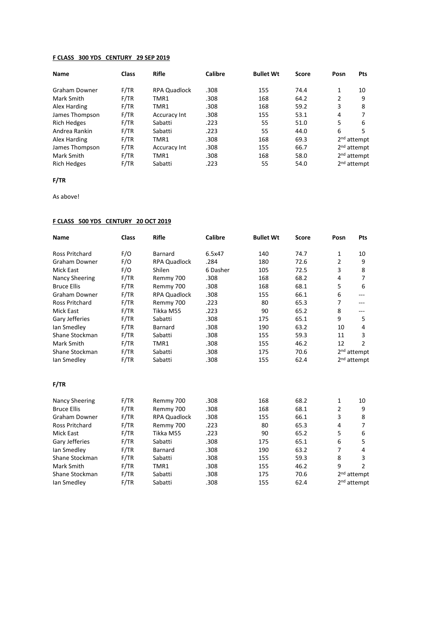### **F CLASS 300 YDS CENTURY 29 SEP 2019**

| <b>Name</b>        | <b>Class</b> | Rifle               | Calibre | <b>Bullet Wt</b> | Score | Posn | <b>Pts</b>              |
|--------------------|--------------|---------------------|---------|------------------|-------|------|-------------------------|
| Graham Downer      | F/TR         | <b>RPA Quadlock</b> | .308    | 155              | 74.4  | 1    | 10                      |
| Mark Smith         | F/TR         | TMR1                | .308    | 168              | 64.2  | 2    | 9                       |
| Alex Harding       | F/TR         | TMR1                | .308    | 168              | 59.2  | 3    | 8                       |
| James Thompson     | F/TR         | Accuracy Int        | .308    | 155              | 53.1  | 4    |                         |
| <b>Rich Hedges</b> | F/TR         | Sabatti             | .223    | 55               | 51.0  | 5    | 6                       |
| Andrea Rankin      | F/TR         | Sabatti             | .223    | 55               | 44.0  | 6    | 5                       |
| Alex Harding       | F/TR         | TMR1                | .308    | 168              | 69.3  |      | $2nd$ attempt           |
| James Thompson     | F/TR         | Accuracy Int        | .308    | 155              | 66.7  |      | 2 <sup>nd</sup> attempt |
| Mark Smith         | F/TR         | TMR1                | .308    | 168              | 58.0  |      | 2 <sup>nd</sup> attempt |
| <b>Rich Hedges</b> | F/TR         | Sabatti             | .223    | 55               | 54.0  |      | $2nd$ attempt           |

## **F/TR**

As above!

#### **F CLASS 500 YDS CENTURY 20 OCT 2019**

| <b>Name</b>           | <b>Class</b> | <b>Rifle</b>        | <b>Calibre</b> | <b>Bullet Wt</b> | <b>Score</b> | Posn           | <b>Pts</b>              |
|-----------------------|--------------|---------------------|----------------|------------------|--------------|----------------|-------------------------|
| Ross Pritchard        | F/O          | <b>Barnard</b>      | 6.5x47         | 140              | 74.7         | 1              | 10                      |
| <b>Graham Downer</b>  | F/O          | <b>RPA Quadlock</b> | .284           | 180              | 72.6         | $\overline{2}$ | 9                       |
| <b>Mick East</b>      | F/O          | Shilen              | 6 Dasher       | 105              | 72.5         | 3              | 8                       |
| <b>Nancy Sheering</b> | F/TR         | Remmy 700           | .308           | 168              | 68.2         | 4              | $\overline{7}$          |
| <b>Bruce Ellis</b>    | F/TR         | Remmy 700           | .308           | 168              | 68.1         | 5              | 6                       |
| <b>Graham Downer</b>  | F/TR         | <b>RPA Quadlock</b> | .308           | 155              | 66.1         | 6              | ---                     |
| Ross Pritchard        | F/TR         | Remmy 700           | .223           | 80               | 65.3         | 7              | ---                     |
| <b>Mick East</b>      | F/TR         | Tikka M55           | .223           | 90               | 65.2         | 8              | ---                     |
| Gary Jefferies        | F/TR         | Sabatti             | .308           | 175              | 65.1         | 9              | 5                       |
| lan Smedley           | F/TR         | <b>Barnard</b>      | .308           | 190              | 63.2         | 10             | 4                       |
| Shane Stockman        | F/TR         | Sabatti             | .308           | 155              | 59.3         | 11             | 3                       |
| Mark Smith            | F/TR         | TMR1                | .308           | 155              | 46.2         | 12             | $\overline{2}$          |
| Shane Stockman        | F/TR         | Sabatti             | .308           | 175              | 70.6         |                | 2 <sup>nd</sup> attempt |
| lan Smedley           | F/TR         | Sabatti             | .308           | 155              | 62.4         |                | 2 <sup>nd</sup> attempt |
| F/TR                  |              |                     |                |                  |              |                |                         |
| <b>Nancy Sheering</b> | F/TR         | Remmy 700           | .308           | 168              | 68.2         | $\mathbf{1}$   | 10                      |
| <b>Bruce Ellis</b>    | F/TR         | Remmy 700           | .308           | 168              | 68.1         | $\overline{2}$ | 9                       |
| <b>Graham Downer</b>  | F/TR         | <b>RPA Quadlock</b> | .308           | 155              | 66.1         | 3              | 8                       |
| <b>Ross Pritchard</b> | F/TR         | Remmy 700           | .223           | 80               | 65.3         | 4              | 7                       |
| <b>Mick East</b>      | F/TR         | Tikka M55           | .223           | 90               | 65.2         | 5              | 6                       |
| Gary Jefferies        | F/TR         | Sabatti             | .308           | 175              | 65.1         | 6              | 5                       |
| lan Smedley           | F/TR         | Barnard             | .308           | 190              | 63.2         | $\overline{7}$ | 4                       |
| Shane Stockman        | F/TR         | Sabatti             | .308           | 155              | 59.3         | 8              | 3                       |
| Mark Smith            | F/TR         | TMR1                | .308           | 155              | 46.2         | 9              | $\overline{2}$          |
| Shane Stockman        | F/TR         | Sabatti             | .308           | 175              | 70.6         |                | 2 <sup>nd</sup> attempt |
| lan Smedley           | F/TR         | Sabatti             | .308           | 155              | 62.4         |                | 2 <sup>nd</sup> attempt |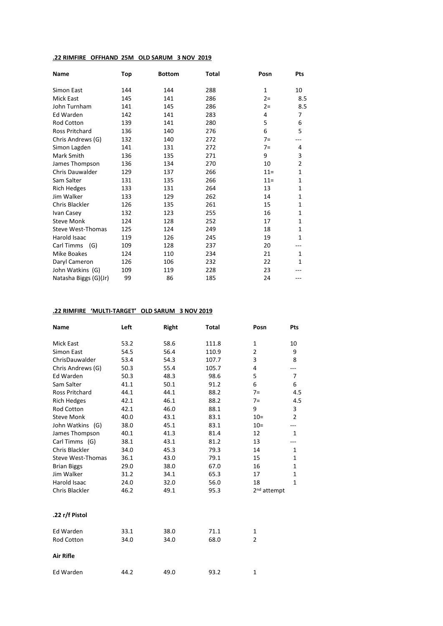## **.22 RIMFIRE OFFHAND 25M OLD SARUM 3 NOV 2019**

| <b>Name</b>              | Top | <b>Bottom</b> | <b>Total</b> | Posn         | Pts            |
|--------------------------|-----|---------------|--------------|--------------|----------------|
| Simon East               | 144 | 144           | 288          | $\mathbf{1}$ | 10             |
| <b>Mick East</b>         | 145 | 141           | 286          | $2 =$        | 8.5            |
| John Turnham             | 141 | 145           | 286          | $2 =$        | 8.5            |
| <b>Ed Warden</b>         | 142 | 141           | 283          | 4            | 7              |
| Rod Cotton               | 139 | 141           | 280          | 5            | 6              |
| <b>Ross Pritchard</b>    | 136 | 140           | 276          | 6            | 5              |
| Chris Andrews (G)        | 132 | 140           | 272          | $7=$         | ---            |
| Simon Lagden             | 141 | 131           | 272          | $7=$         | 4              |
| Mark Smith               | 136 | 135           | 271          | 9            | 3              |
| James Thompson           | 136 | 134           | 270          | 10           | $\overline{2}$ |
| <b>Chris Dauwalder</b>   | 129 | 137           | 266          | $11 =$       | $\mathbf{1}$   |
| Sam Salter               | 131 | 135           | 266          | $11 =$       | $\mathbf{1}$   |
| <b>Rich Hedges</b>       | 133 | 131           | 264          | 13           | $\mathbf{1}$   |
| Jim Walker               | 133 | 129           | 262          | 14           | 1              |
| Chris Blackler           | 126 | 135           | 261          | 15           | $\mathbf{1}$   |
| Ivan Casey               | 132 | 123           | 255          | 16           | $\mathbf{1}$   |
| <b>Steve Monk</b>        | 124 | 128           | 252          | 17           | $\mathbf{1}$   |
| <b>Steve West-Thomas</b> | 125 | 124           | 249          | 18           | $\mathbf{1}$   |
| Harold Isaac             | 119 | 126           | 245          | 19           | $\mathbf{1}$   |
| Carl Timms<br>(G)        | 109 | 128           | 237          | 20           |                |
| Mike Boakes              | 124 | 110           | 234          | 21           | $\mathbf{1}$   |
| Daryl Cameron            | 126 | 106           | 232          | 22           | $\mathbf{1}$   |
| John Watkins (G)         | 109 | 119           | 228          | 23           |                |
| Natasha Biggs (G)(Jr)    | 99  | 86            | 185          | 24           |                |

# **.22 RIMFIRE 'MULTI-TARGET' OLD SARUM 3 NOV 2019**

| <b>Name</b>              | Left | <b>Right</b> | <b>Total</b> | Posn                    | Pts            |
|--------------------------|------|--------------|--------------|-------------------------|----------------|
| <b>Mick East</b>         | 53.2 | 58.6         | 111.8        | 1                       | 10             |
| Simon East               | 54.5 | 56.4         | 110.9        | 2                       | 9              |
| ChrisDauwalder           | 53.4 | 54.3         | 107.7        | 3                       | 8              |
| Chris Andrews (G)        | 50.3 | 55.4         | 105.7        | 4                       | ---            |
| <b>Ed Warden</b>         | 50.3 | 48.3         | 98.6         | 5                       | $\overline{7}$ |
| Sam Salter               | 41.1 | 50.1         | 91.2         | 6                       | 6              |
| <b>Ross Pritchard</b>    | 44.1 | 44.1         | 88.2         | $7=$                    | 4.5            |
| <b>Rich Hedges</b>       | 42.1 | 46.1         | 88.2         | $7=$                    | 4.5            |
| <b>Rod Cotton</b>        | 42.1 | 46.0         | 88.1         | 9                       | 3              |
| <b>Steve Monk</b>        | 40.0 | 43.1         | 83.1         | $10=$                   | $\overline{2}$ |
| John Watkins (G)         | 38.0 | 45.1         | 83.1         | $10 =$                  | ---            |
| James Thompson           | 40.1 | 41.3         | 81.4         | 12                      | 1              |
| Carl Timms (G)           | 38.1 | 43.1         | 81.2         | 13                      | ---            |
| Chris Blackler           | 34.0 | 45.3         | 79.3         | 14                      | $\mathbf{1}$   |
| <b>Steve West-Thomas</b> | 36.1 | 43.0         | 79.1         | 15                      | 1              |
| <b>Brian Biggs</b>       | 29.0 | 38.0         | 67.0         | 16                      | $\mathbf 1$    |
| Jim Walker               | 31.2 | 34.1         | 65.3         | 17                      | $\mathbf{1}$   |
| <b>Harold Isaac</b>      | 24.0 | 32.0         | 56.0         | 18                      | $\mathbf{1}$   |
| Chris Blackler           | 46.2 | 49.1         | 95.3         | 2 <sup>nd</sup> attempt |                |
| .22 r/f Pistol           |      |              |              |                         |                |
| <b>Ed Warden</b>         | 33.1 | 38.0         | 71.1         | $\mathbf{1}$            |                |
| Rod Cotton               | 34.0 | 34.0         | 68.0         | 2                       |                |
| <b>Air Rifle</b>         |      |              |              |                         |                |
| Ed Warden                | 44.2 | 49.0         | 93.2         | $\mathbf{1}$            |                |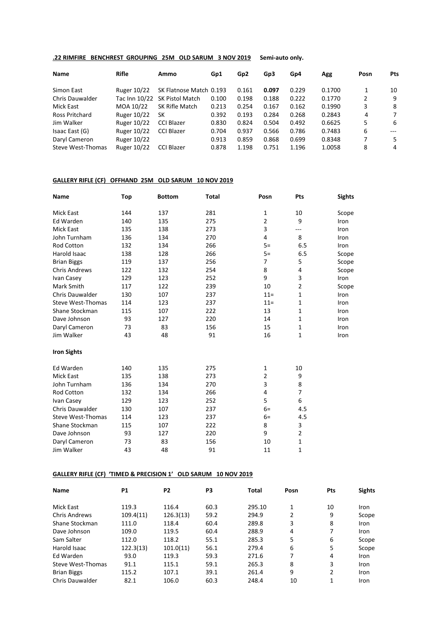## **.22 RIMFIRE BENCHREST GROUPING 25M OLD SARUM 3 NOV 2019 Semi-auto only.**

| Name                   | <b>Rifle</b>       | Ammo                    | Gp1   | Gp <sub>2</sub> | Gp3   | Gp4   | Agg    | Posn | <b>Pts</b> |
|------------------------|--------------------|-------------------------|-------|-----------------|-------|-------|--------|------|------------|
| Simon East             | <b>Ruger 10/22</b> | SK Flatnose Match 0.193 |       | 0.161           | 0.097 | 0.229 | 0.1700 | 1    | 10         |
| <b>Chris Dauwalder</b> | Tac Inn 10/22      | <b>SK Pistol Match</b>  | 0.100 | 0.198           | 0.188 | 0.222 | 0.1770 | 2    | -9         |
| Mick East              | MOA 10/22          | SK Rifle Match          | 0.213 | 0.254           | 0.167 | 0.162 | 0.1990 | 3    | 8          |
| Ross Pritchard         | Ruger 10/22        | SК                      | 0.392 | 0.193           | 0.284 | 0.268 | 0.2843 | 4    | 7          |
| Jim Walker             | <b>Ruger 10/22</b> | <b>CCI Blazer</b>       | 0.830 | 0.824           | 0.504 | 0.492 | 0.6625 | 5    | -6         |
| Isaac East (G)         | <b>Ruger 10/22</b> | CCI Blazer              | 0.704 | 0.937           | 0.566 | 0.786 | 0.7483 | 6    | $---$      |
| Daryl Cameron          | Ruger 10/22        |                         | 0.913 | 0.859           | 0.868 | 0.699 | 0.8348 | 7    | 5.         |
| Steve West-Thomas      | <b>Ruger 10/22</b> | <b>CCI Blazer</b>       | 0.878 | 1.198           | 0.751 | 1.196 | 1.0058 | 8    | 4          |

#### **GALLERY RIFLE (CF) OFFHAND 25M OLD SARUM 10 NOV 2019**

| Name                     | Top | <b>Bottom</b> | <b>Total</b> | Posn           | Pts            | <b>Sights</b> |
|--------------------------|-----|---------------|--------------|----------------|----------------|---------------|
| <b>Mick East</b>         | 144 | 137           | 281          | $\mathbf{1}$   | 10             | Scope         |
| Ed Warden                | 140 | 135           | 275          | $\overline{2}$ | 9              | Iron          |
| <b>Mick East</b>         | 135 | 138           | 273          | 3              | ---            | Iron          |
| John Turnham             | 136 | 134           | 270          | 4              | 8              | Iron          |
| Rod Cotton               | 132 | 134           | 266          | $5=$           | 6.5            | Iron          |
| Harold Isaac             | 138 | 128           | 266          | $5=$           | 6.5            | Scope         |
| <b>Brian Biggs</b>       | 119 | 137           | 256          | $\overline{7}$ | 5              | Scope         |
| <b>Chris Andrews</b>     | 122 | 132           | 254          | 8              | 4              | Scope         |
| Ivan Casey               | 129 | 123           | 252          | 9              | 3              | Iron          |
| Mark Smith               | 117 | 122           | 239          | 10             | $\overline{2}$ | Scope         |
| Chris Dauwalder          | 130 | 107           | 237          | $11 =$         | $\mathbf{1}$   | Iron          |
| <b>Steve West-Thomas</b> | 114 | 123           | 237          | $11 =$         | $\mathbf 1$    | Iron          |
| Shane Stockman           | 115 | 107           | 222          | 13             | $\mathbf{1}$   | Iron          |
| Dave Johnson             | 93  | 127           | 220          | 14             | $\mathbf{1}$   | Iron          |
| Daryl Cameron            | 73  | 83            | 156          | 15             | $\mathbf{1}$   | Iron          |
| Jim Walker               | 43  | 48            | 91           | 16             | $\mathbf{1}$   | Iron          |
| <b>Iron Sights</b>       |     |               |              |                |                |               |
| Ed Warden                | 140 | 135           | 275          | $\mathbf{1}$   | 10             |               |
| <b>Mick East</b>         | 135 | 138           | 273          | $\overline{2}$ | 9              |               |
| John Turnham             | 136 | 134           | 270          | 3              | 8              |               |
| Rod Cotton               | 132 | 134           | 266          | 4              | $\overline{7}$ |               |
| Ivan Casey               | 129 | 123           | 252          | 5              | 6              |               |
| <b>Chris Dauwalder</b>   | 130 | 107           | 237          | $6=$           | 4.5            |               |
| <b>Steve West-Thomas</b> | 114 | 123           | 237          | $6=$           | 4.5            |               |
| Shane Stockman           | 115 | 107           | 222          | 8              | 3              |               |
| Dave Johnson             | 93  | 127           | 220          | 9              | $\overline{2}$ |               |
| Daryl Cameron            | 73  | 83            | 156          | 10             | $\mathbf{1}$   |               |
| Jim Walker               | 43  | 48            | 91           | 11             | 1              |               |

### **GALLERY RIFLE (CF) 'TIMED & PRECISION 1' OLD SARUM 10 NOV 2019**

| <b>Name</b>            | <b>P1</b> | P <sub>2</sub> | P3   | <b>Total</b> | Posn | <b>Pts</b> | <b>Sights</b> |
|------------------------|-----------|----------------|------|--------------|------|------------|---------------|
| Mick East              | 119.3     | 116.4          | 60.3 | 295.10       | 1    | 10         | <b>Iron</b>   |
| <b>Chris Andrews</b>   | 109.4(11) | 126.3(13)      | 59.2 | 294.9        | 2    | 9          | Scope         |
| Shane Stockman         | 111.0     | 118.4          | 60.4 | 289.8        | 3    | 8          | Iron          |
| Dave Johnson           | 109.0     | 119.5          | 60.4 | 288.9        | 4    | 7          | Iron          |
| Sam Salter             | 112.0     | 118.2          | 55.1 | 285.3        | 5    | 6          | Scope         |
| Harold Isaac           | 122.3(13) | 101.0(11)      | 56.1 | 279.4        | 6    | 5          | Scope         |
| Ed Warden              | 93.0      | 119.3          | 59.3 | 271.6        | 7    | 4          | <b>Iron</b>   |
| Steve West-Thomas      | 91.1      | 115.1          | 59.1 | 265.3        | 8    | 3          | <b>Iron</b>   |
| <b>Brian Biggs</b>     | 115.2     | 107.1          | 39.1 | 261.4        | 9    | 2          | <b>Iron</b>   |
| <b>Chris Dauwalder</b> | 82.1      | 106.0          | 60.3 | 248.4        | 10   | 1          | Iron          |